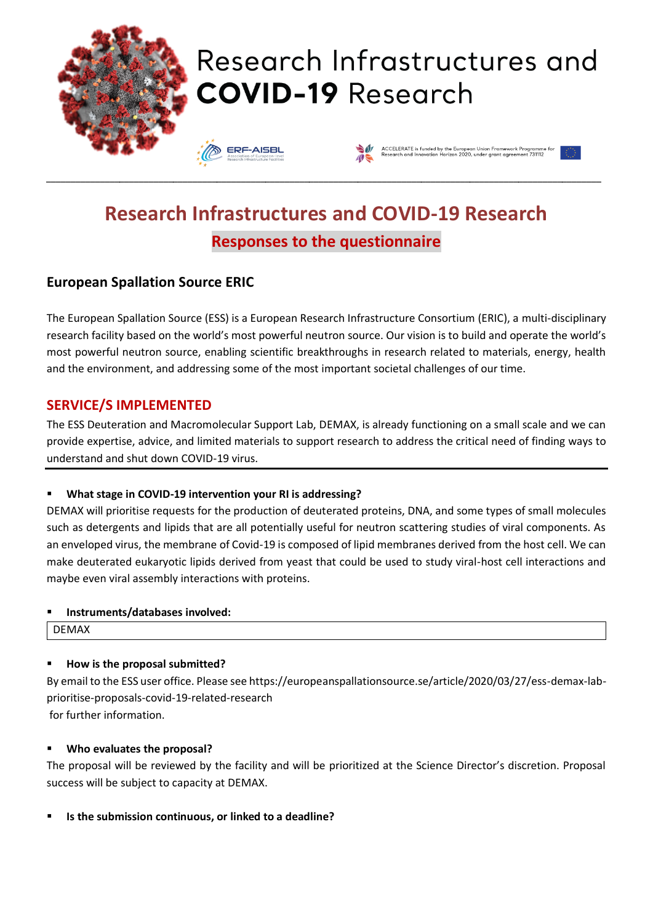

# **Research Infrastructures and COVID-19 Research Responses to the questionnaire**

# **European Spallation Source ERIC**

The European Spallation Source (ESS) is a European Research Infrastructure Consortium (ERIC), a multi-disciplinary research facility based on the world's most powerful neutron source. Our vision is to build and operate the world's most powerful neutron source, enabling scientific breakthroughs in research related to materials, energy, health and the environment, and addressing some of the most important societal challenges of our time.

# **SERVICE/S IMPLEMENTED**

The ESS Deuteration and Macromolecular Support Lab, DEMAX, is already functioning on a small scale and we can provide expertise, advice, and limited materials to support research to address the critical need of finding ways to understand and shut down COVID-19 virus.

## ▪ **What stage in COVID-19 intervention your RI is addressing?**

DEMAX will prioritise requests for the production of deuterated proteins, DNA, and some types of small molecules such as detergents and lipids that are all potentially useful for neutron scattering studies of viral components. As an enveloped virus, the membrane of Covid-19 is composed of lipid membranes derived from the host cell. We can make deuterated eukaryotic lipids derived from yeast that could be used to study viral-host cell interactions and maybe even viral assembly interactions with proteins.

#### ▪ **Instruments/databases involved:**

DEMAX

## ▪ **How is the proposal submitted?**

By email to the ESS user office. Please see https://europeanspallationsource.se/article/2020/03/27/ess-demax-labprioritise-proposals-covid-19-related-research for further information.

#### ▪ **Who evaluates the proposal?**

The proposal will be reviewed by the facility and will be prioritized at the Science Director's discretion. Proposal success will be subject to capacity at DEMAX.

▪ **Is the submission continuous, or linked to a deadline?**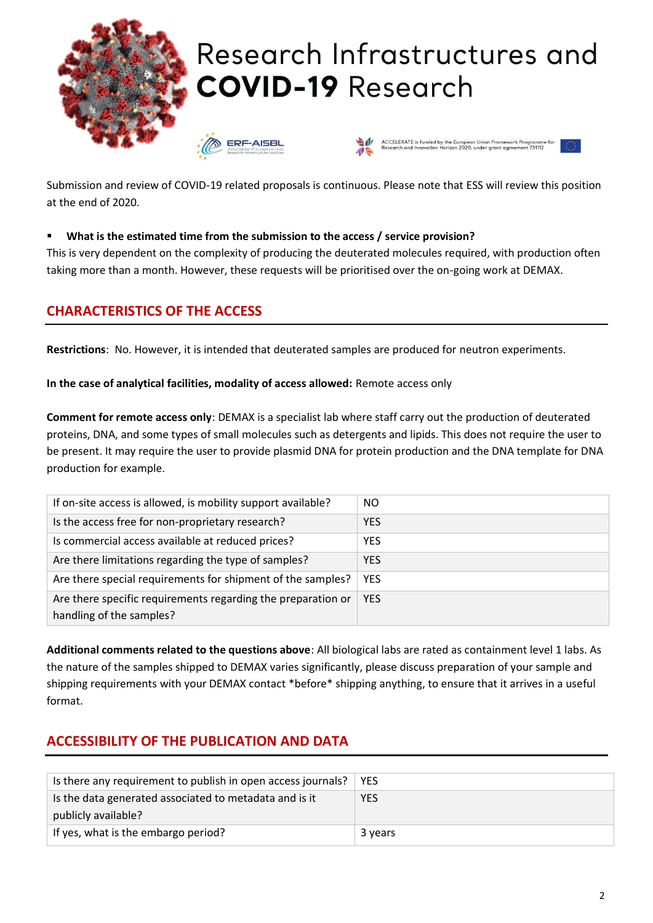

Submission and review of COVID-19 related proposals is continuous. Please note that ESS will review this position at the end of 2020.

#### ▪ **What is the estimated time from the submission to the access / service provision?**

This is very dependent on the complexity of producing the deuterated molecules required, with production often taking more than a month. However, these requests will be prioritised over the on-going work at DEMAX.

## **CHARACTERISTICS OF THE ACCESS**

**Restrictions**: No. However, it is intended that deuterated samples are produced for neutron experiments.

**In the case of analytical facilities, modality of access allowed:** Remote access only

**Comment for remote access only**: DEMAX is a specialist lab where staff carry out the production of deuterated proteins, DNA, and some types of small molecules such as detergents and lipids. This does not require the user to be present. It may require the user to provide plasmid DNA for protein production and the DNA template for DNA production for example.

| If on-site access is allowed, is mobility support available? | NO         |
|--------------------------------------------------------------|------------|
| Is the access free for non-proprietary research?             | <b>YES</b> |
| Is commercial access available at reduced prices?            | <b>YES</b> |
| Are there limitations regarding the type of samples?         | <b>YES</b> |
| Are there special requirements for shipment of the samples?  | <b>YES</b> |
| Are there specific requirements regarding the preparation or | <b>YES</b> |
| handling of the samples?                                     |            |

**Additional comments related to the questions above**: All biological labs are rated as containment level 1 labs. As the nature of the samples shipped to DEMAX varies significantly, please discuss preparation of your sample and shipping requirements with your DEMAX contact \*before\* shipping anything, to ensure that it arrives in a useful format.

# **ACCESSIBILITY OF THE PUBLICATION AND DATA**

| Is there any requirement to publish in open access journals? | YES        |
|--------------------------------------------------------------|------------|
| Is the data generated associated to metadata and is it       | <b>YES</b> |
| publicly available?                                          |            |
| If yes, what is the embargo period?                          | 3 years    |